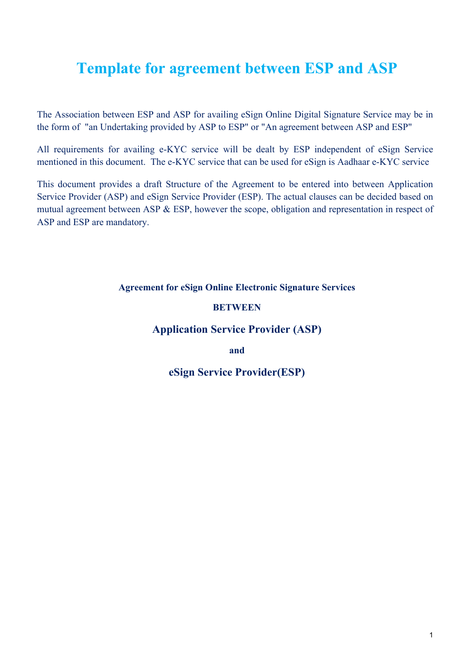# **Template for agreement between ESP and ASP**

The Association between ESP and ASP for availing eSign Online Digital Signature Service may be in the form of "an Undertaking provided by ASP to ESP" or "An agreement between ASP and ESP"

All requirements for availing e-KYC service will be dealt by ESP independent of eSign Service mentioned in this document. The e-KYC service that can be used for eSign is Aadhaar e-KYC service

This document provides a draft Structure of the Agreement to be entered into between Application Service Provider (ASP) and eSign Service Provider (ESP). The actual clauses can be decided based on mutual agreement between ASP & ESP, however the scope, obligation and representation in respect of ASP and ESP are mandatory.

#### **Agreement for eSign Online Electronic Signature Services**

#### **BETWEEN**

## **Application Service Provider (ASP)**

**and**

# **eSign Service Provider(ESP)**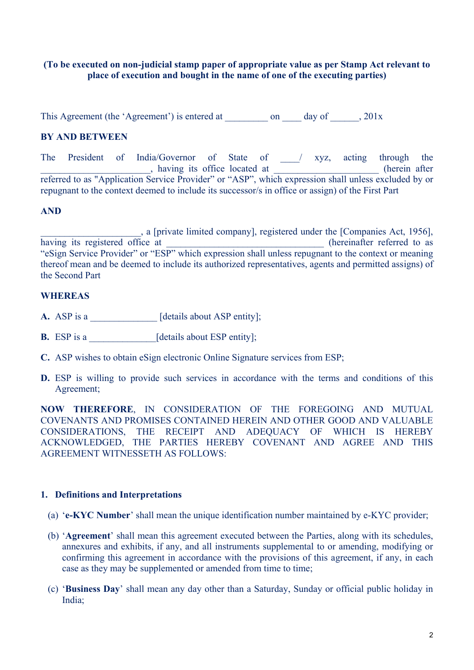#### **(To be executed on non-judicial stamp paper of appropriate value as per Stamp Act relevant to place of execution and bought in the name of one of the executing parties)**

This Agreement (the 'Agreement') is entered at  $\qquad \qquad \text{on} \qquad \text{day of} \qquad , 201x$ 

# **BY AND BETWEEN**

The President of India/Governor of State of \_\_\_/ xyz, acting through the extending the virtual state of the located at the contract of the contract of the contract of the contract of the contract of the contract of the contract of the contract of the contract of the contract of the contract of referred to as "Application Service Provider" or "ASP", which expression shall unless excluded by or repugnant to the context deemed to include its successor/s in office or assign) of the First Part

#### **AND**

\_\_\_\_\_\_\_\_\_\_\_\_\_\_\_\_\_\_\_\_\_, a [private limited company], registered under the [Companies Act, 1956], having its registered office at \_\_\_\_\_\_\_\_\_\_\_\_\_\_\_\_\_\_\_\_\_\_\_\_\_\_\_\_\_\_\_(hereinafter referred to as "eSign Service Provider" or "ESP" which expression shall unless repugnant to the context or meaning thereof mean and be deemed to include its authorized representatives, agents and permitted assigns) of the Second Part

#### **WHEREAS**

- **A.** ASP is a \_\_\_\_\_\_\_\_\_\_\_\_\_ [details about ASP entity];
- **B.** ESP is a  $[details about ESP entity];$
- **C.** ASP wishes to obtain eSign electronic Online Signature services from ESP;
- **D.** ESP is willing to provide such services in accordance with the terms and conditions of this Agreement;

**NOW THEREFORE**, IN CONSIDERATION OF THE FOREGOING AND MUTUAL COVENANTS AND PROMISES CONTAINED HEREIN AND OTHER GOOD AND VALUABLE CONSIDERATIONS, THE RECEIPT AND ADEQUACY OF WHICH IS HEREBY ACKNOWLEDGED, THE PARTIES HEREBY COVENANT AND AGREE AND THIS AGREEMENT WITNESSETH AS FOLLOWS:

#### **1. Definitions and Interpretations**

- (a) '**e-KYC Number**' shall mean the unique identification number maintained by e-KYC provider;
- (b) '**Agreement**' shall mean this agreement executed between the Parties, along with its schedules, annexures and exhibits, if any, and all instruments supplemental to or amending, modifying or confirming this agreement in accordance with the provisions of this agreement, if any, in each case as they may be supplemented or amended from time to time;
- (c) '**Business Day**' shall mean any day other than a Saturday, Sunday or official public holiday in India;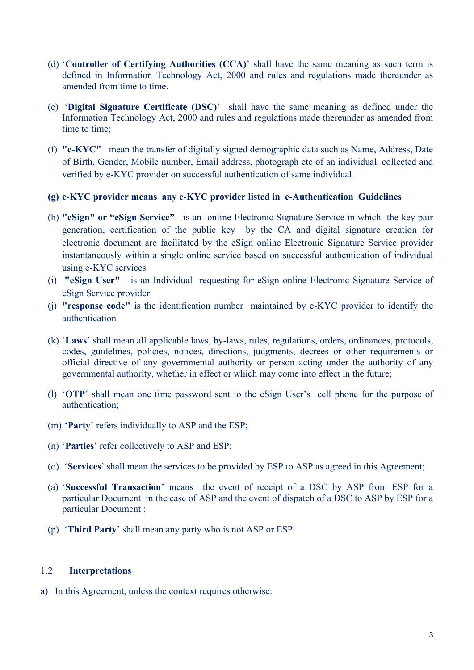- (d) '**Controller of Certifying Authorities (CCA)**' shall have the same meaning as such term is defined in Information Technology Act, 2000 and rules and regulations made thereunder as amended from time to time.
- (e) '**Digital Signature Certificate (DSC)**' shall have the same meaning as defined under the Information Technology Act, 2000 and rules and regulations made thereunder as amended from time to time;
- (f) **"e-KYC"** mean the transfer of digitally signed demographic data such as Name, Address, Date of Birth, Gender, Mobile number, Email address, photograph etc of an individual. collected and verified by e-KYC provider on successful authentication of same individual

#### **(g) e-KYC provider means any e-KYC provider listed in e-Authentication Guidelines**

- (h) **"eSign" or "eSign Service"** is an online Electronic Signature Service in which the key pair generation, certification of the public key by the CA and digital signature creation for electronic document are facilitated by the eSign online Electronic Signature Service provider instantaneously within a single online service based on successful authentication of individual using e-KYC services
- (i) **"eSign User"** is an Individual requesting for eSign online Electronic Signature Service of eSign Service provider
- (j) **"response code"** is the identification number maintained by e-KYC provider to identify the authentication
- (k) '**Laws**' shall mean all applicable laws, by-laws, rules, regulations, orders, ordinances, protocols, codes, guidelines, policies, notices, directions, judgments, decrees or other requirements or official directive of any governmental authority or person acting under the authority of any governmental authority, whether in effect or which may come into effect in the future;
- (l) '**OTP**' shall mean one time password sent to the eSign User's cell phone for the purpose of authentication;
- (m) '**Party**' refers individually to ASP and the ESP;
- (n) '**Parties**' refer collectively to ASP and ESP;
- (o) '**Services**' shall mean the services to be provided by ESP to ASP as agreed in this Agreement;.
- (a) '**Successful Transaction**' means the event of receipt of a DSC by ASP from ESP for a particular Document in the case of ASP and the event of dispatch of a DSC to ASP by ESP for a particular Document ;
- (p) '**Third Party**' shall mean any party who is not ASP or ESP.

#### 1.2 **Interpretations**

a) In this Agreement, unless the context requires otherwise: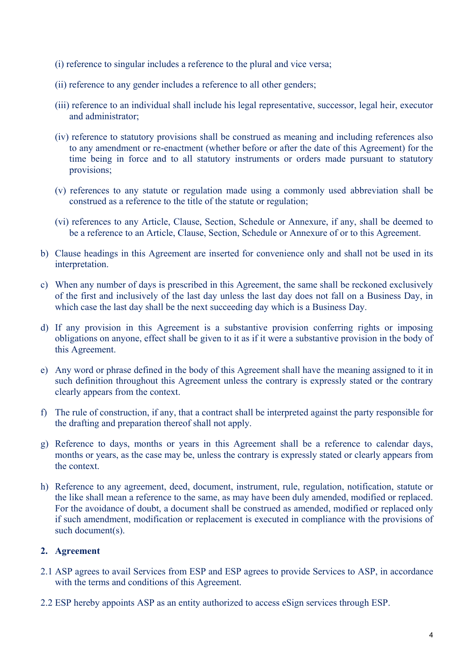- (i) reference to singular includes a reference to the plural and vice versa;
- (ii) reference to any gender includes a reference to all other genders;
- (iii) reference to an individual shall include his legal representative, successor, legal heir, executor and administrator;
- (iv) reference to statutory provisions shall be construed as meaning and including references also to any amendment or re-enactment (whether before or after the date of this Agreement) for the time being in force and to all statutory instruments or orders made pursuant to statutory provisions;
- (v) references to any statute or regulation made using a commonly used abbreviation shall be construed as a reference to the title of the statute or regulation;
- (vi) references to any Article, Clause, Section, Schedule or Annexure, if any, shall be deemed to be a reference to an Article, Clause, Section, Schedule or Annexure of or to this Agreement.
- b) Clause headings in this Agreement are inserted for convenience only and shall not be used in its interpretation.
- c) When any number of days is prescribed in this Agreement, the same shall be reckoned exclusively of the first and inclusively of the last day unless the last day does not fall on a Business Day, in which case the last day shall be the next succeeding day which is a Business Day.
- d) If any provision in this Agreement is a substantive provision conferring rights or imposing obligations on anyone, effect shall be given to it as if it were a substantive provision in the body of this Agreement.
- e) Any word or phrase defined in the body of this Agreement shall have the meaning assigned to it in such definition throughout this Agreement unless the contrary is expressly stated or the contrary clearly appears from the context.
- f) The rule of construction, if any, that a contract shall be interpreted against the party responsible for the drafting and preparation thereof shall not apply.
- g) Reference to days, months or years in this Agreement shall be a reference to calendar days, months or years, as the case may be, unless the contrary is expressly stated or clearly appears from the context.
- h) Reference to any agreement, deed, document, instrument, rule, regulation, notification, statute or the like shall mean a reference to the same, as may have been duly amended, modified or replaced. For the avoidance of doubt, a document shall be construed as amended, modified or replaced only if such amendment, modification or replacement is executed in compliance with the provisions of such document(s).

#### **2. Agreement**

- 2.1 ASP agrees to avail Services from ESP and ESP agrees to provide Services to ASP, in accordance with the terms and conditions of this Agreement.
- 2.2 ESP hereby appoints ASP as an entity authorized to access eSign services through ESP.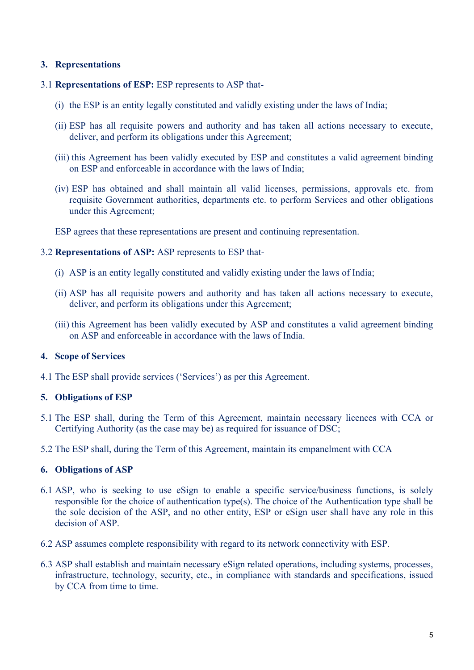#### **3. Representations**

#### 3.1 **Representations of ESP:** ESP represents to ASP that-

- (i) the ESP is an entity legally constituted and validly existing under the laws of India;
- (ii) ESP has all requisite powers and authority and has taken all actions necessary to execute, deliver, and perform its obligations under this Agreement;
- (iii) this Agreement has been validly executed by ESP and constitutes a valid agreement binding on ESP and enforceable in accordance with the laws of India;
- (iv) ESP has obtained and shall maintain all valid licenses, permissions, approvals etc. from requisite Government authorities, departments etc. to perform Services and other obligations under this Agreement;

ESP agrees that these representations are present and continuing representation.

#### 3.2 **Representations of ASP:** ASP represents to ESP that-

- (i) ASP is an entity legally constituted and validly existing under the laws of India;
- (ii) ASP has all requisite powers and authority and has taken all actions necessary to execute, deliver, and perform its obligations under this Agreement;
- (iii) this Agreement has been validly executed by ASP and constitutes a valid agreement binding on ASP and enforceable in accordance with the laws of India.

#### **4. Scope of Services**

4.1 The ESP shall provide services ('Services') as per this Agreement.

#### **5. Obligations of ESP**

- 5.1 The ESP shall, during the Term of this Agreement, maintain necessary licences with CCA or Certifying Authority (as the case may be) as required for issuance of DSC;
- 5.2 The ESP shall, during the Term of this Agreement, maintain its empanelment with CCA

#### **6. Obligations of ASP**

- 6.1 ASP, who is seeking to use eSign to enable a specific service/business functions, is solely responsible for the choice of authentication type(s). The choice of the Authentication type shall be the sole decision of the ASP, and no other entity, ESP or eSign user shall have any role in this decision of ASP.
- 6.2 ASP assumes complete responsibility with regard to its network connectivity with ESP.
- 6.3 ASP shall establish and maintain necessary eSign related operations, including systems, processes, infrastructure, technology, security, etc., in compliance with standards and specifications, issued by CCA from time to time.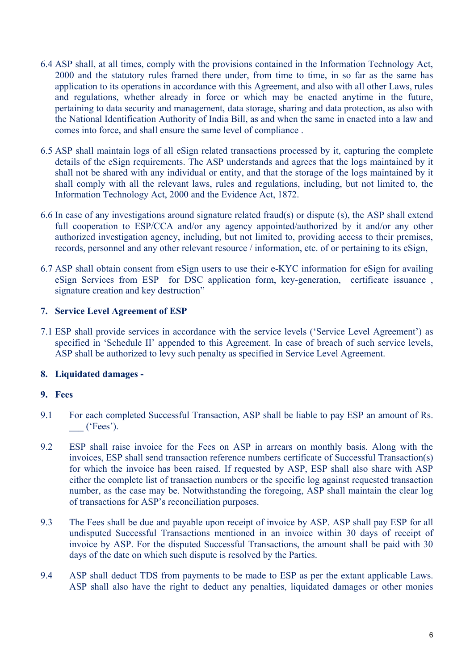- 6.4 ASP shall, at all times, comply with the provisions contained in the Information Technology Act, 2000 and the statutory rules framed there under, from time to time, in so far as the same has application to its operations in accordance with this Agreement, and also with all other Laws, rules and regulations, whether already in force or which may be enacted anytime in the future, pertaining to data security and management, data storage, sharing and data protection, as also with the National Identification Authority of India Bill, as and when the same in enacted into a law and comes into force, and shall ensure the same level of compliance .
- 6.5 ASP shall maintain logs of all eSign related transactions processed by it, capturing the complete details of the eSign requirements. The ASP understands and agrees that the logs maintained by it shall not be shared with any individual or entity, and that the storage of the logs maintained by it shall comply with all the relevant laws, rules and regulations, including, but not limited to, the Information Technology Act, 2000 and the Evidence Act, 1872.
- 6.6 In case of any investigations around signature related fraud(s) or dispute (s), the ASP shall extend full cooperation to ESP/CCA and/or any agency appointed/authorized by it and/or any other authorized investigation agency, including, but not limited to, providing access to their premises, records, personnel and any other relevant resource / information, etc. of or pertaining to its eSign,
- 6.7 ASP shall obtain consent from eSign users to use their e-KYC information for eSign for availing eSign Services from ESP for DSC application form, key-generation, certificate issuance , signature creation and key destruction"

#### **7. Service Level Agreement of ESP**

7.1 ESP shall provide services in accordance with the service levels ('Service Level Agreement') as specified in 'Schedule II' appended to this Agreement. In case of breach of such service levels, ASP shall be authorized to levy such penalty as specified in Service Level Agreement.

#### **8. Liquidated damages -**

#### **9. Fees**

- 9.1 For each completed Successful Transaction, ASP shall be liable to pay ESP an amount of Rs. \_\_\_ ('Fees').
- 9.2 ESP shall raise invoice for the Fees on ASP in arrears on monthly basis. Along with the invoices, ESP shall send transaction reference numbers certificate of Successful Transaction(s) for which the invoice has been raised. If requested by ASP, ESP shall also share with ASP either the complete list of transaction numbers or the specific log against requested transaction number, as the case may be. Notwithstanding the foregoing, ASP shall maintain the clear log of transactions for ASP's reconciliation purposes.
- 9.3 The Fees shall be due and payable upon receipt of invoice by ASP. ASP shall pay ESP for all undisputed Successful Transactions mentioned in an invoice within 30 days of receipt of invoice by ASP. For the disputed Successful Transactions, the amount shall be paid with 30 days of the date on which such dispute is resolved by the Parties.
- 9.4 ASP shall deduct TDS from payments to be made to ESP as per the extant applicable Laws. ASP shall also have the right to deduct any penalties, liquidated damages or other monies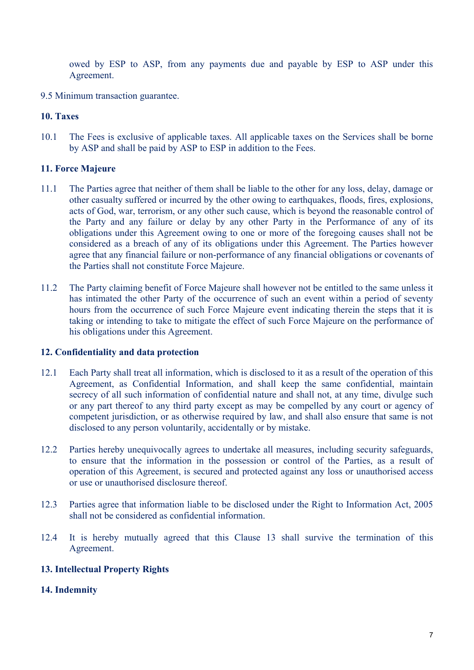owed by ESP to ASP, from any payments due and payable by ESP to ASP under this Agreement.

9.5 Minimum transaction guarantee.

#### **10. Taxes**

10.1 The Fees is exclusive of applicable taxes. All applicable taxes on the Services shall be borne by ASP and shall be paid by ASP to ESP in addition to the Fees.

#### **11. Force Majeure**

- 11.1 The Parties agree that neither of them shall be liable to the other for any loss, delay, damage or other casualty suffered or incurred by the other owing to earthquakes, floods, fires, explosions, acts of God, war, terrorism, or any other such cause, which is beyond the reasonable control of the Party and any failure or delay by any other Party in the Performance of any of its obligations under this Agreement owing to one or more of the foregoing causes shall not be considered as a breach of any of its obligations under this Agreement. The Parties however agree that any financial failure or non-performance of any financial obligations or covenants of the Parties shall not constitute Force Majeure.
- 11.2 The Party claiming benefit of Force Majeure shall however not be entitled to the same unless it has intimated the other Party of the occurrence of such an event within a period of seventy hours from the occurrence of such Force Majeure event indicating therein the steps that it is taking or intending to take to mitigate the effect of such Force Majeure on the performance of his obligations under this Agreement.

#### **12. Confidentiality and data protection**

- 12.1 Each Party shall treat all information, which is disclosed to it as a result of the operation of this Agreement, as Confidential Information, and shall keep the same confidential, maintain secrecy of all such information of confidential nature and shall not, at any time, divulge such or any part thereof to any third party except as may be compelled by any court or agency of competent jurisdiction, or as otherwise required by law, and shall also ensure that same is not disclosed to any person voluntarily, accidentally or by mistake.
- 12.2 Parties hereby unequivocally agrees to undertake all measures, including security safeguards, to ensure that the information in the possession or control of the Parties, as a result of operation of this Agreement, is secured and protected against any loss or unauthorised access or use or unauthorised disclosure thereof.
- 12.3 Parties agree that information liable to be disclosed under the Right to Information Act, 2005 shall not be considered as confidential information.
- 12.4 It is hereby mutually agreed that this Clause 13 shall survive the termination of this Agreement.

#### **13. Intellectual Property Rights**

#### **14. Indemnity**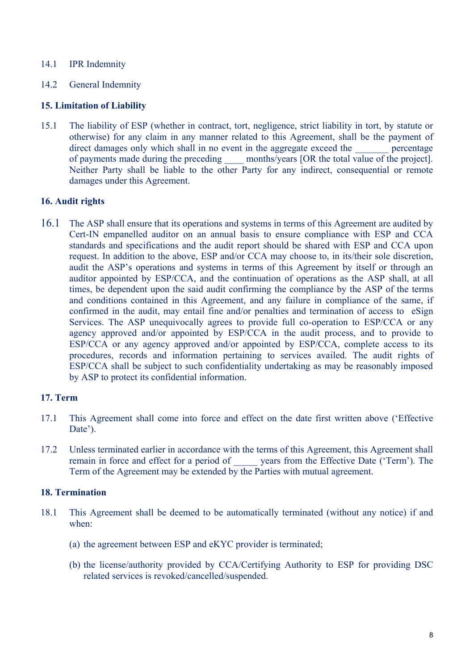#### 14.1 **IPR** Indemnity

14.2 General Indemnity

#### **15. Limitation of Liability**

15.1 The liability of ESP (whether in contract, tort, negligence, strict liability in tort, by statute or otherwise) for any claim in any manner related to this Agreement, shall be the payment of direct damages only which shall in no event in the aggregate exceed the percentage of payments made during the preceding \_\_\_\_ months/years [OR the total value of the project]. Neither Party shall be liable to the other Party for any indirect, consequential or remote damages under this Agreement.

#### **16. Audit rights**

16.1 The ASP shall ensure that its operations and systems in terms of this Agreement are audited by Cert-IN empanelled auditor on an annual basis to ensure compliance with ESP and CCA standards and specifications and the audit report should be shared with ESP and CCA upon request. In addition to the above, ESP and/or CCA may choose to, in its/their sole discretion, audit the ASP's operations and systems in terms of this Agreement by itself or through an auditor appointed by ESP/CCA, and the continuation of operations as the ASP shall, at all times, be dependent upon the said audit confirming the compliance by the ASP of the terms and conditions contained in this Agreement, and any failure in compliance of the same, if confirmed in the audit, may entail fine and/or penalties and termination of access to eSign Services. The ASP unequivocally agrees to provide full co-operation to ESP/CCA or any agency approved and/or appointed by ESP/CCA in the audit process, and to provide to ESP/CCA or any agency approved and/or appointed by ESP/CCA, complete access to its procedures, records and information pertaining to services availed. The audit rights of ESP/CCA shall be subject to such confidentiality undertaking as may be reasonably imposed by ASP to protect its confidential information.

#### **17. Term**

- 17.1 This Agreement shall come into force and effect on the date first written above ('Effective Date<sup>'</sup>).
- 17.2 Unless terminated earlier in accordance with the terms of this Agreement, this Agreement shall remain in force and effect for a period of vears from the Effective Date ('Term'). The Term of the Agreement may be extended by the Parties with mutual agreement.

#### **18. Termination**

- 18.1 This Agreement shall be deemed to be automatically terminated (without any notice) if and when:
	- (a) the agreement between ESP and eKYC provider is terminated;
	- (b) the license/authority provided by CCA/Certifying Authority to ESP for providing DSC related services is revoked/cancelled/suspended.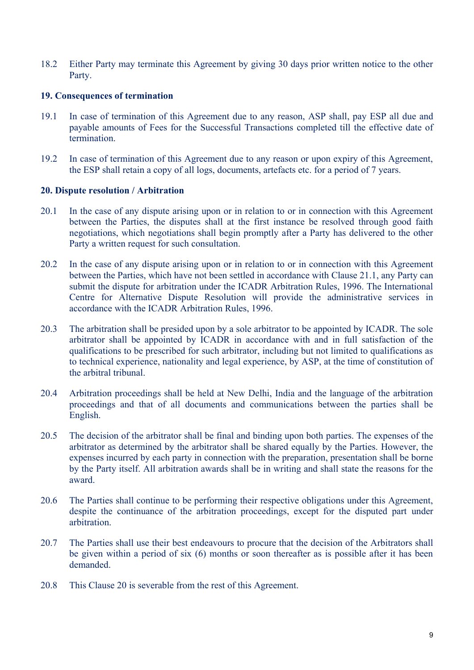18.2 Either Party may terminate this Agreement by giving 30 days prior written notice to the other Party.

#### **19. Consequences of termination**

- 19.1 In case of termination of this Agreement due to any reason, ASP shall, pay ESP all due and payable amounts of Fees for the Successful Transactions completed till the effective date of termination.
- 19.2 In case of termination of this Agreement due to any reason or upon expiry of this Agreement, the ESP shall retain a copy of all logs, documents, artefacts etc. for a period of 7 years.

#### **20. Dispute resolution / Arbitration**

- 20.1 In the case of any dispute arising upon or in relation to or in connection with this Agreement between the Parties, the disputes shall at the first instance be resolved through good faith negotiations, which negotiations shall begin promptly after a Party has delivered to the other Party a written request for such consultation.
- 20.2 In the case of any dispute arising upon or in relation to or in connection with this Agreement between the Parties, which have not been settled in accordance with Clause 21.1, any Party can submit the dispute for arbitration under the ICADR Arbitration Rules, 1996. The International Centre for Alternative Dispute Resolution will provide the administrative services in accordance with the ICADR Arbitration Rules, 1996.
- 20.3 The arbitration shall be presided upon by a sole arbitrator to be appointed by ICADR. The sole arbitrator shall be appointed by ICADR in accordance with and in full satisfaction of the qualifications to be prescribed for such arbitrator, including but not limited to qualifications as to technical experience, nationality and legal experience, by ASP, at the time of constitution of the arbitral tribunal.
- 20.4 Arbitration proceedings shall be held at New Delhi, India and the language of the arbitration proceedings and that of all documents and communications between the parties shall be English.
- 20.5 The decision of the arbitrator shall be final and binding upon both parties. The expenses of the arbitrator as determined by the arbitrator shall be shared equally by the Parties. However, the expenses incurred by each party in connection with the preparation, presentation shall be borne by the Party itself. All arbitration awards shall be in writing and shall state the reasons for the award.
- 20.6 The Parties shall continue to be performing their respective obligations under this Agreement, despite the continuance of the arbitration proceedings, except for the disputed part under arbitration.
- 20.7 The Parties shall use their best endeavours to procure that the decision of the Arbitrators shall be given within a period of six (6) months or soon thereafter as is possible after it has been demanded.
- 20.8 This Clause 20 is severable from the rest of this Agreement.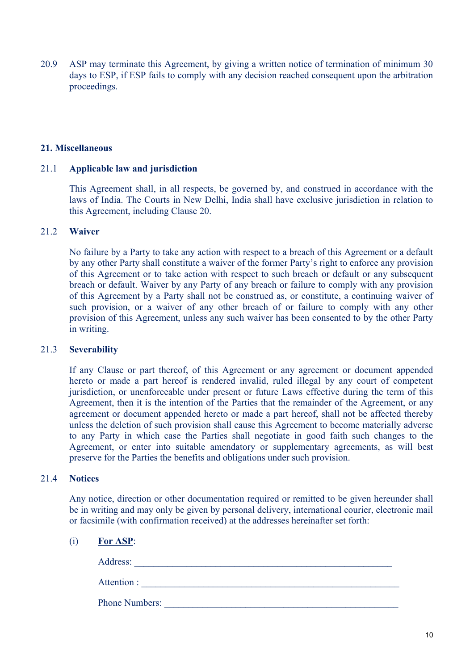20.9 ASP may terminate this Agreement, by giving a written notice of termination of minimum 30 days to ESP, if ESP fails to comply with any decision reached consequent upon the arbitration proceedings.

#### **21. Miscellaneous**

#### 21.1 **Applicable law and jurisdiction**

This Agreement shall, in all respects, be governed by, and construed in accordance with the laws of India. The Courts in New Delhi, India shall have exclusive jurisdiction in relation to this Agreement, including Clause 20.

#### 21.2 **Waiver**

No failure by a Party to take any action with respect to a breach of this Agreement or a default by any other Party shall constitute a waiver of the former Party's right to enforce any provision of this Agreement or to take action with respect to such breach or default or any subsequent breach or default. Waiver by any Party of any breach or failure to comply with any provision of this Agreement by a Party shall not be construed as, or constitute, a continuing waiver of such provision, or a waiver of any other breach of or failure to comply with any other provision of this Agreement, unless any such waiver has been consented to by the other Party in writing.

#### 21.3 **Severability**

If any Clause or part thereof, of this Agreement or any agreement or document appended hereto or made a part hereof is rendered invalid, ruled illegal by any court of competent jurisdiction, or unenforceable under present or future Laws effective during the term of this Agreement, then it is the intention of the Parties that the remainder of the Agreement, or any agreement or document appended hereto or made a part hereof, shall not be affected thereby unless the deletion of such provision shall cause this Agreement to become materially adverse to any Party in which case the Parties shall negotiate in good faith such changes to the Agreement, or enter into suitable amendatory or supplementary agreements, as will best preserve for the Parties the benefits and obligations under such provision.

#### 21.4 **Notices**

Any notice, direction or other documentation required or remitted to be given hereunder shall be in writing and may only be given by personal delivery, international courier, electronic mail or facsimile (with confirmation received) at the addresses hereinafter set forth:

#### (i) **For ASP**:

Address: \_\_\_\_\_\_\_\_\_\_\_\_\_\_\_\_\_\_\_\_\_\_\_\_\_\_\_\_\_\_\_\_\_\_\_\_\_\_\_\_\_\_\_\_\_\_\_\_\_\_\_\_\_\_ Attention : \_\_\_\_\_\_\_\_\_\_\_\_\_\_\_\_\_\_\_\_\_\_\_\_\_\_\_\_\_\_\_\_\_\_\_\_\_\_\_\_\_\_\_\_\_\_\_\_\_\_\_\_\_\_ Phone Numbers: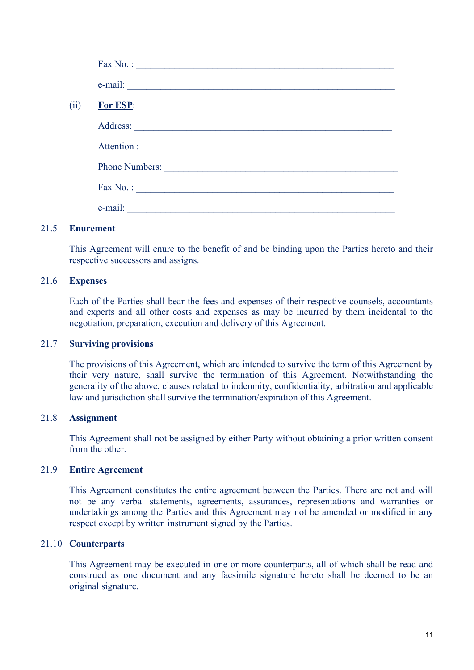|      | Fax No. : $\qquad \qquad$                                                                                                       |
|------|---------------------------------------------------------------------------------------------------------------------------------|
|      | $e$ -mail: $\qquad \qquad$                                                                                                      |
| (ii) | For ESP:                                                                                                                        |
|      |                                                                                                                                 |
|      |                                                                                                                                 |
|      | Phone Numbers:                                                                                                                  |
|      | Fax No. : $\qquad \qquad$                                                                                                       |
|      | e-mail:<br><u> 1980 - Johann Barn, mars ann an t-Amhain Aonaich an t-Aonaich an t-Aonaich ann an t-Aonaich ann an t-Aonaich</u> |

#### 21.5 **Enurement**

This Agreement will enure to the benefit of and be binding upon the Parties hereto and their respective successors and assigns.

#### 21.6 **Expenses**

Each of the Parties shall bear the fees and expenses of their respective counsels, accountants and experts and all other costs and expenses as may be incurred by them incidental to the negotiation, preparation, execution and delivery of this Agreement.

#### 21.7 **Surviving provisions**

The provisions of this Agreement, which are intended to survive the term of this Agreement by their very nature, shall survive the termination of this Agreement. Notwithstanding the generality of the above, clauses related to indemnity, confidentiality, arbitration and applicable law and jurisdiction shall survive the termination/expiration of this Agreement.

#### 21.8 **Assignment**

This Agreement shall not be assigned by either Party without obtaining a prior written consent from the other.

#### 21.9 **Entire Agreement**

This Agreement constitutes the entire agreement between the Parties. There are not and will not be any verbal statements, agreements, assurances, representations and warranties or undertakings among the Parties and this Agreement may not be amended or modified in any respect except by written instrument signed by the Parties.

#### 21.10 **Counterparts**

This Agreement may be executed in one or more counterparts, all of which shall be read and construed as one document and any facsimile signature hereto shall be deemed to be an original signature.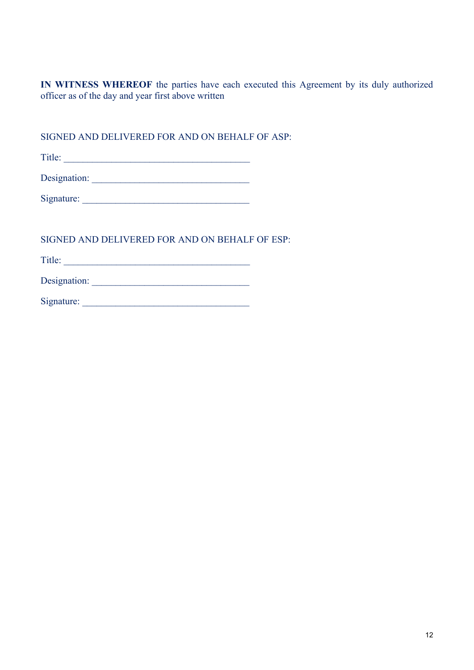**IN WITNESS WHEREOF** the parties have each executed this Agreement by its duly authorized officer as of the day and year first above written

SIGNED AND DELIVERED FOR AND ON BEHALF OF ASP:

Title: \_\_\_\_\_\_\_\_\_\_\_\_\_\_\_\_\_\_\_\_\_\_\_\_\_\_\_\_\_\_\_\_\_\_\_\_\_\_\_

SIGNED AND DELIVERED FOR AND ON BEHALF OF ESP:

Title: \_\_\_\_\_\_\_\_\_\_\_\_\_\_\_\_\_\_\_\_\_\_\_\_\_\_\_\_\_\_\_\_\_\_\_\_\_\_\_

Designation: \_\_\_\_\_\_\_\_\_\_\_\_\_\_\_\_\_\_\_\_\_\_\_\_\_\_\_\_\_\_\_\_\_

Signature: \_\_\_\_\_\_\_\_\_\_\_\_\_\_\_\_\_\_\_\_\_\_\_\_\_\_\_\_\_\_\_\_\_\_\_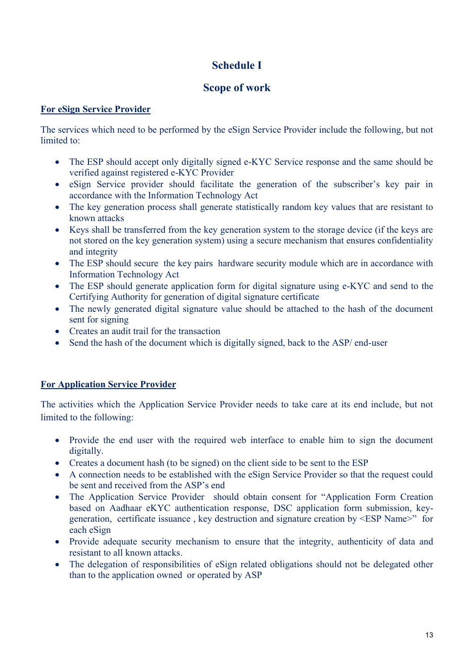# **Schedule I**

# **Scope of work**

# **For eSign Service Provider**

The services which need to be performed by the eSign Service Provider include the following, but not limited to:

- The ESP should accept only digitally signed e-KYC Service response and the same should be verified against registered e-KYC Provider
- eSign Service provider should facilitate the generation of the subscriber's key pair in accordance with the Information Technology Act
- The key generation process shall generate statistically random key values that are resistant to known attacks
- Keys shall be transferred from the key generation system to the storage device (if the keys are not stored on the key generation system) using a secure mechanism that ensures confidentiality and integrity
- The ESP should secure the key pairs hardware security module which are in accordance with Information Technology Act
- The ESP should generate application form for digital signature using e-KYC and send to the Certifying Authority for generation of digital signature certificate
- The newly generated digital signature value should be attached to the hash of the document sent for signing
- Creates an audit trail for the transaction
- Send the hash of the document which is digitally signed, back to the ASP/ end-user

# **For Application Service Provider**

The activities which the Application Service Provider needs to take care at its end include, but not limited to the following:

- Provide the end user with the required web interface to enable him to sign the document digitally.
- Creates a document hash (to be signed) on the client side to be sent to the ESP
- A connection needs to be established with the eSign Service Provider so that the request could be sent and received from the ASP's end
- The Application Service Provider should obtain consent for "Application Form Creation based on Aadhaar eKYC authentication response, DSC application form submission, keygeneration, certificate issuance , key destruction and signature creation by <ESP Name>" for each eSign
- Provide adequate security mechanism to ensure that the integrity, authenticity of data and resistant to all known attacks.
- The delegation of responsibilities of eSign related obligations should not be delegated other than to the application owned or operated by ASP